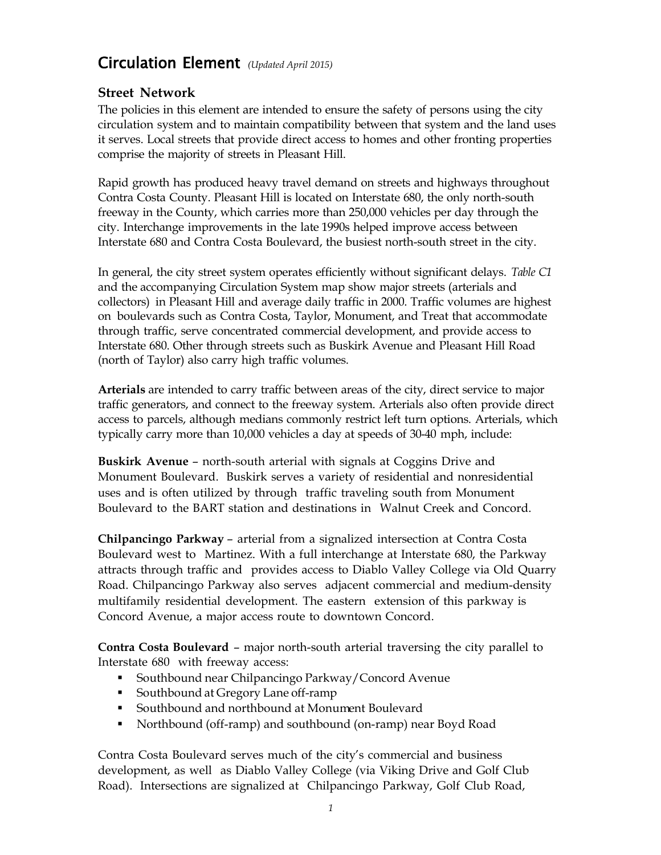# Circulation Element *(Updated April 2015)*

# **Street Network**

The policies in this element are intended to ensure the safety of persons using the city circulation system and to maintain compatibility between that system and the land uses it serves. Local streets that provide direct access to homes and other fronting properties comprise the majority of streets in Pleasant Hill.

Rapid growth has produced heavy travel demand on streets and highways throughout Contra Costa County. Pleasant Hill is located on Interstate 680, the only north-south freeway in the County, which carries more than 250,000 vehicles per day through the city. Interchange improvements in the late 1990s helped improve access between Interstate 680 and Contra Costa Boulevard, the busiest north-south street in the city.

In general, the city street system operates efficiently without significant delays. *Table C1* and the accompanying Circulation System map show major streets (arterials and collectors) in Pleasant Hill and average daily traffic in 2000. Traffic volumes are highest on boulevards such as Contra Costa, Taylor, Monument, and Treat that accommodate through traffic, serve concentrated commercial development, and provide access to Interstate 680. Other through streets such as Buskirk Avenue and Pleasant Hill Road (north of Taylor) also carry high traffic volumes.

**Arterials** are intended to carry traffic between areas of the city, direct service to major traffic generators, and connect to the freeway system. Arterials also often provide direct access to parcels, although medians commonly restrict left turn options. Arterials, which typically carry more than 10,000 vehicles a day at speeds of 30-40 mph, include:

**Buskirk Avenue** – north-south arterial with signals at Coggins Drive and Monument Boulevard. Buskirk serves a variety of residential and nonresidential uses and is often utilized by through traffic traveling south from Monument Boulevard to the BART station and destinations in Walnut Creek and Concord.

**Chilpancingo Parkway** – arterial from a signalized intersection at Contra Costa Boulevard west to Martinez. With a full interchange at Interstate 680, the Parkway attracts through traffic and provides access to Diablo Valley College via Old Quarry Road. Chilpancingo Parkway also serves adjacent commercial and medium-density multifamily residential development. The eastern extension of this parkway is Concord Avenue, a major access route to downtown Concord.

**Contra Costa Boulevard** – major north-south arterial traversing the city parallel to Interstate 680 with freeway access:

- Southbound near Chilpancingo Parkway/Concord Avenue
- Southbound at Gregory Lane off-ramp
- Southbound and northbound at Monument Boulevard
- Northbound (off-ramp) and southbound (on-ramp) near Boyd Road

Contra Costa Boulevard serves much of the city's commercial and business development, as well as Diablo Valley College (via Viking Drive and Golf Club Road). Intersections are signalized at Chilpancingo Parkway, Golf Club Road,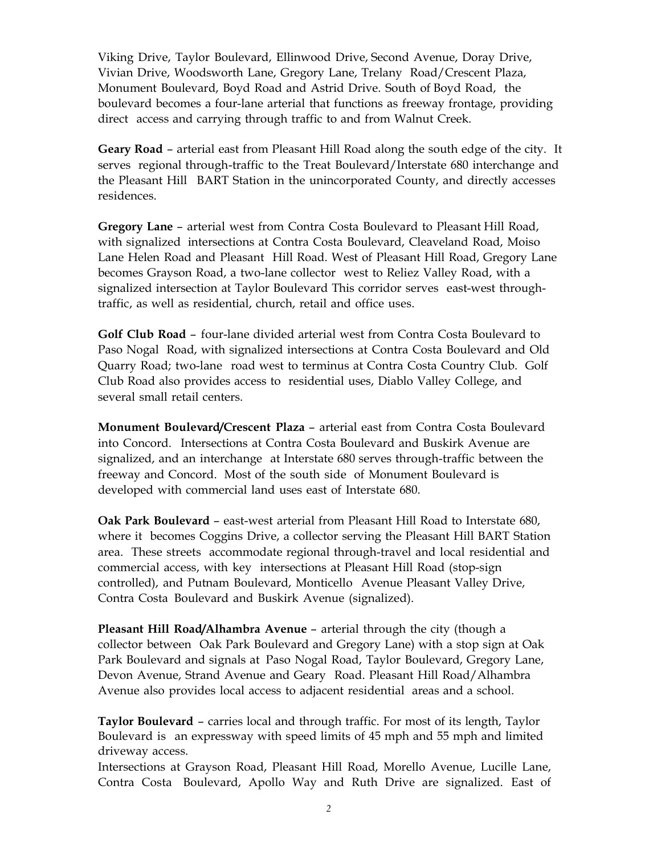Viking Drive, Taylor Boulevard, Ellinwood Drive, Second Avenue, Doray Drive, Vivian Drive, Woodsworth Lane, Gregory Lane, Trelany Road/Crescent Plaza, Monument Boulevard, Boyd Road and Astrid Drive. South of Boyd Road, the boulevard becomes a four-lane arterial that functions as freeway frontage, providing direct access and carrying through traffic to and from Walnut Creek.

**Geary Road** – arterial east from Pleasant Hill Road along the south edge of the city. It serves regional through-traffic to the Treat Boulevard/Interstate 680 interchange and the Pleasant Hill BART Station in the unincorporated County, and directly accesses residences.

**Gregory Lane** – arterial west from Contra Costa Boulevard to Pleasant Hill Road, with signalized intersections at Contra Costa Boulevard, Cleaveland Road, Moiso Lane Helen Road and Pleasant Hill Road. West of Pleasant Hill Road, Gregory Lane becomes Grayson Road, a two-lane collector west to Reliez Valley Road, with a signalized intersection at Taylor Boulevard This corridor serves east-west throughtraffic, as well as residential, church, retail and office uses.

**Golf Club Road** – four-lane divided arterial west from Contra Costa Boulevard to Paso Nogal Road, with signalized intersections at Contra Costa Boulevard and Old Quarry Road; two-lane road west to terminus at Contra Costa Country Club. Golf Club Road also provides access to residential uses, Diablo Valley College, and several small retail centers.

**Monument Boulevard/Crescent Plaza** – arterial east from Contra Costa Boulevard into Concord. Intersections at Contra Costa Boulevard and Buskirk Avenue are signalized, and an interchange at Interstate 680 serves through-traffic between the freeway and Concord. Most of the south side of Monument Boulevard is developed with commercial land uses east of Interstate 680.

**Oak Park Boulevard** – east-west arterial from Pleasant Hill Road to Interstate 680, where it becomes Coggins Drive, a collector serving the Pleasant Hill BART Station area. These streets accommodate regional through-travel and local residential and commercial access, with key intersections at Pleasant Hill Road (stop-sign controlled), and Putnam Boulevard, Monticello Avenue Pleasant Valley Drive, Contra Costa Boulevard and Buskirk Avenue (signalized).

**Pleasant Hill Road/Alhambra Avenue** – arterial through the city (though a collector between Oak Park Boulevard and Gregory Lane) with a stop sign at Oak Park Boulevard and signals at Paso Nogal Road, Taylor Boulevard, Gregory Lane, Devon Avenue, Strand Avenue and Geary Road. Pleasant Hill Road/Alhambra Avenue also provides local access to adjacent residential areas and a school.

**Taylor Boulevard** – carries local and through traffic. For most of its length, Taylor Boulevard is an expressway with speed limits of 45 mph and 55 mph and limited driveway access.

Intersections at Grayson Road, Pleasant Hill Road, Morello Avenue, Lucille Lane, Contra Costa Boulevard, Apollo Way and Ruth Drive are signalized. East of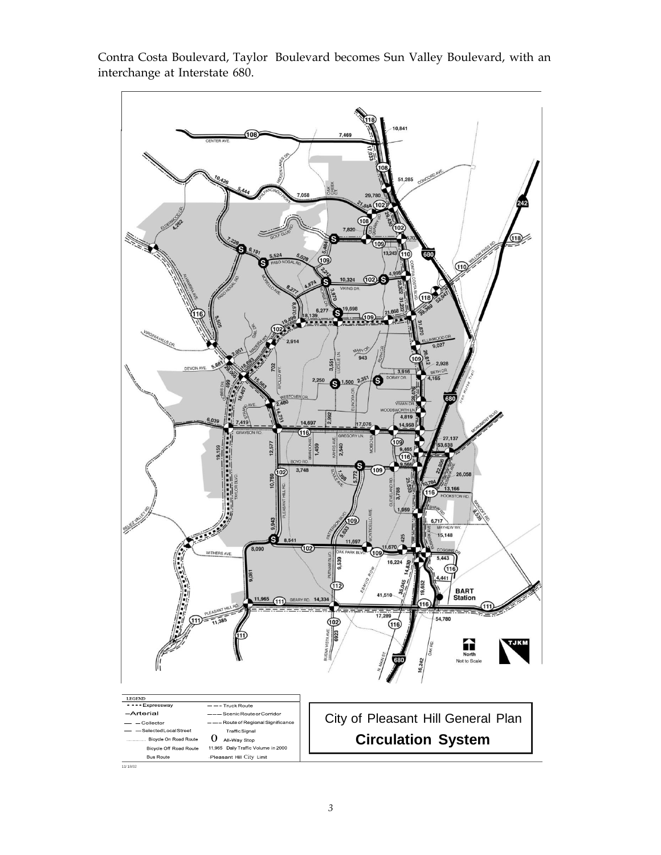

Contra Costa Boulevard, Taylor Boulevard becomes Sun Valley Boulevard, with an interchange at Interstate 680.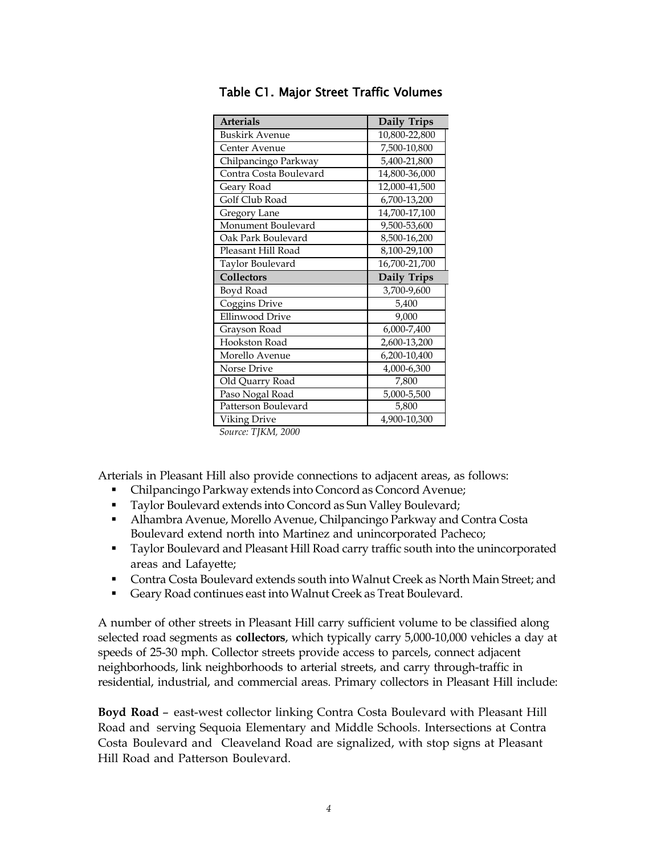| <b>Arterials</b>       | Daily Trips   |
|------------------------|---------------|
| <b>Buskirk Avenue</b>  | 10,800-22,800 |
| Center Avenue          | 7,500-10,800  |
| Chilpancingo Parkway   | 5,400-21,800  |
| Contra Costa Boulevard | 14,800-36,000 |
| Geary Road             | 12,000-41,500 |
| Golf Club Road         | 6,700-13,200  |
| Gregory Lane           | 14,700-17,100 |
| Monument Boulevard     | 9,500-53,600  |
| Oak Park Boulevard     | 8,500-16,200  |
| Pleasant Hill Road     | 8,100-29,100  |
| Taylor Boulevard       | 16,700-21,700 |
| Collectors             | Daily Trips   |
|                        |               |
| Boyd Road              | 3,700-9,600   |
| Coggins Drive          | 5,400         |
| <b>Ellinwood Drive</b> | 9,000         |
| Grayson Road           | 6,000-7,400   |
| Hookston Road          | 2,600-13,200  |
| Morello Avenue         | 6,200-10,400  |
| Norse Drive            | 4,000-6,300   |
| Old Quarry Road        | 7,800         |
| Paso Nogal Road        | 5,000-5,500   |
| Patterson Boulevard    | 5,800         |
| Viking Drive           | 4,900-10,300  |

| Table C1. Major Street Traffic Volumes |  |  |  |  |  |
|----------------------------------------|--|--|--|--|--|
|----------------------------------------|--|--|--|--|--|

Arterials in Pleasant Hill also provide connections to adjacent areas, as follows:

- Chilpancingo Parkway extends into Concord as Concord Avenue;
- Taylor Boulevard extends into Concord as Sun Valley Boulevard;
- Alhambra Avenue, Morello Avenue, Chilpancingo Parkway and Contra Costa Boulevard extend north into Martinez and unincorporated Pacheco;
- Taylor Boulevard and Pleasant Hill Road carry traffic south into the unincorporated areas and Lafayette;
- Contra Costa Boulevard extends south into Walnut Creek as North Main Street; and
- Geary Road continues east into Walnut Creek as Treat Boulevard.

A number of other streets in Pleasant Hill carry sufficient volume to be classified along selected road segments as **collectors**, which typically carry 5,000-10,000 vehicles a day at speeds of 25-30 mph. Collector streets provide access to parcels, connect adjacent neighborhoods, link neighborhoods to arterial streets, and carry through-traffic in residential, industrial, and commercial areas. Primary collectors in Pleasant Hill include:

**Boyd Road** – east-west collector linking Contra Costa Boulevard with Pleasant Hill Road and serving Sequoia Elementary and Middle Schools. Intersections at Contra Costa Boulevard and Cleaveland Road are signalized, with stop signs at Pleasant Hill Road and Patterson Boulevard.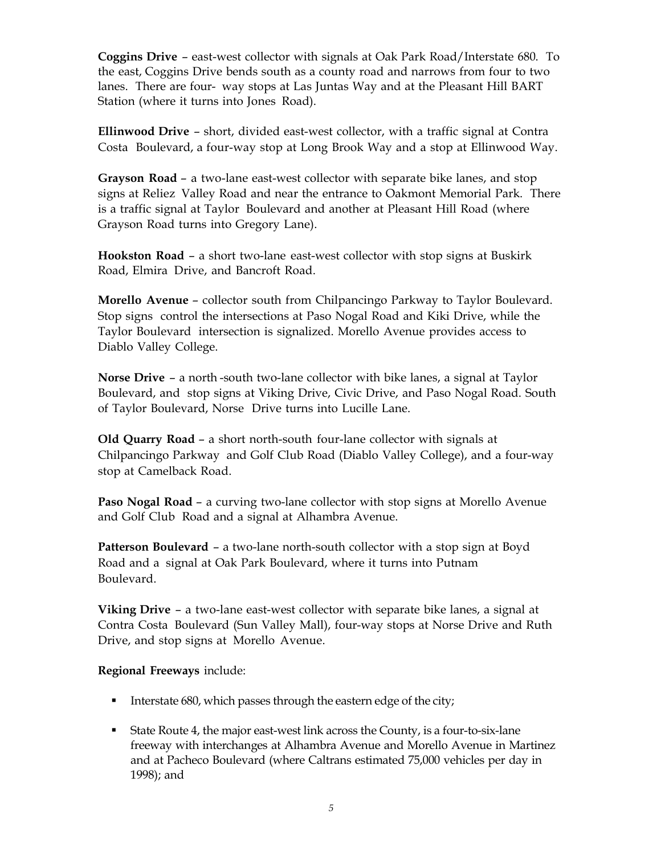**Coggins Drive** – east-west collector with signals at Oak Park Road/Interstate 680. To the east, Coggins Drive bends south as a county road and narrows from four to two lanes. There are four- way stops at Las Juntas Way and at the Pleasant Hill BART Station (where it turns into Jones Road).

**Ellinwood Drive** – short, divided east-west collector, with a traffic signal at Contra Costa Boulevard, a four-way stop at Long Brook Way and a stop at Ellinwood Way.

**Grayson Road** – a two-lane east-west collector with separate bike lanes, and stop signs at Reliez Valley Road and near the entrance to Oakmont Memorial Park. There is a traffic signal at Taylor Boulevard and another at Pleasant Hill Road (where Grayson Road turns into Gregory Lane).

**Hookston Road** – a short two-lane east-west collector with stop signs at Buskirk Road, Elmira Drive, and Bancroft Road.

**Morello Avenue** – collector south from Chilpancingo Parkway to Taylor Boulevard. Stop signs control the intersections at Paso Nogal Road and Kiki Drive, while the Taylor Boulevard intersection is signalized. Morello Avenue provides access to Diablo Valley College.

**Norse Drive** – a north -south two-lane collector with bike lanes, a signal at Taylor Boulevard, and stop signs at Viking Drive, Civic Drive, and Paso Nogal Road. South of Taylor Boulevard, Norse Drive turns into Lucille Lane.

**Old Quarry Road** – a short north-south four-lane collector with signals at Chilpancingo Parkway and Golf Club Road (Diablo Valley College), and a four-way stop at Camelback Road.

**Paso Nogal Road** – a curving two-lane collector with stop signs at Morello Avenue and Golf Club Road and a signal at Alhambra Avenue.

**Patterson Boulevard** – a two-lane north-south collector with a stop sign at Boyd Road and a signal at Oak Park Boulevard, where it turns into Putnam Boulevard.

**Viking Drive** – a two-lane east-west collector with separate bike lanes, a signal at Contra Costa Boulevard (Sun Valley Mall), four-way stops at Norse Drive and Ruth Drive, and stop signs at Morello Avenue.

**Regional Freeways** include:

- Interstate 680, which passes through the eastern edge of the city;
- State Route 4, the major east-west link across the County, is a four-to-six-lane freeway with interchanges at Alhambra Avenue and Morello Avenue in Martinez and at Pacheco Boulevard (where Caltrans estimated 75,000 vehicles per day in 1998); and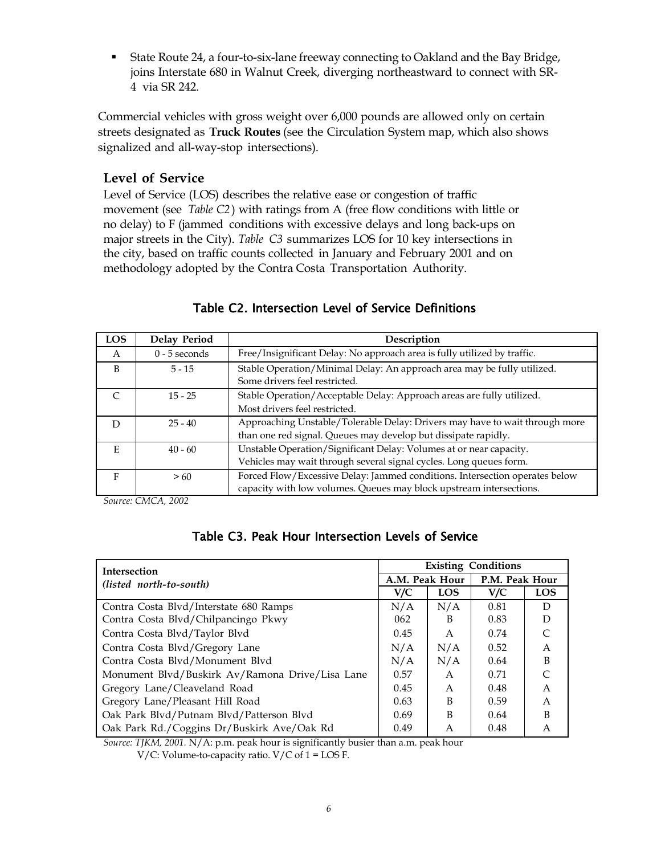State Route 24, a four-to-six-lane freeway connecting to Oakland and the Bay Bridge, joins Interstate 680 in Walnut Creek, diverging northeastward to connect with SR-4 via SR 242.

Commercial vehicles with gross weight over 6,000 pounds are allowed only on certain streets designated as **Truck Routes** (see the Circulation System map, which also shows signalized and all-way-stop intersections).

#### **Level of Service**

Level of Service (LOS) describes the relative ease or congestion of traffic movement (see *Table C2*) with ratings from A (free flow conditions with little or no delay) to F (jammed conditions with excessive delays and long back-ups on major streets in the City). *Table C3* summarizes LOS for 10 key intersections in the city, based on traffic counts collected in January and February 2001 and on methodology adopted by the Contra Costa Transportation Authority.

| <b>LOS</b> | <b>Delay Period</b> | Description                                                                                              |
|------------|---------------------|----------------------------------------------------------------------------------------------------------|
| A          | $0 - 5$ seconds     | Free/Insignificant Delay: No approach area is fully utilized by traffic.                                 |
| B          | $5 - 15$            | Stable Operation/Minimal Delay: An approach area may be fully utilized.<br>Some drivers feel restricted. |
|            | $15 - 25$           | Stable Operation/Acceptable Delay: Approach areas are fully utilized.                                    |
|            |                     | Most drivers feel restricted.                                                                            |
|            | $25 - 40$           | Approaching Unstable/Tolerable Delay: Drivers may have to wait through more                              |
|            |                     | than one red signal. Queues may develop but dissipate rapidly.                                           |
| E          | $40 - 60$           | Unstable Operation/Significant Delay: Volumes at or near capacity.                                       |
|            |                     | Vehicles may wait through several signal cycles. Long queues form.                                       |
| F          | >60                 | Forced Flow/Excessive Delay: Jammed conditions. Intersection operates below                              |
|            |                     | capacity with low volumes. Queues may block upstream intersections.                                      |

#### Table C2. Intersection Level of Service Definitions

*Source: CMCA, 2002*

| <b>Intersection</b>                             |                | <b>Existing Conditions</b> |                |            |  |
|-------------------------------------------------|----------------|----------------------------|----------------|------------|--|
| (listed north-to-south)                         | A.M. Peak Hour |                            | P.M. Peak Hour |            |  |
|                                                 | V/C            | <b>LOS</b>                 | V/C            | <b>LOS</b> |  |
| Contra Costa Blvd/Interstate 680 Ramps          | N/A            | N/A                        | 0.81           | D          |  |
| Contra Costa Blvd/Chilpancingo Pkwy             | 062            | B                          | 0.83           | D          |  |
| Contra Costa Blvd/Taylor Blvd                   | 0.45           | $\mathsf{A}$               | 0.74           |            |  |
| Contra Costa Blvd/Gregory Lane                  | N/A            | N/A                        | 0.52           | A          |  |
| Contra Costa Blvd/Monument Blvd                 | N/A            | N/A                        | 0.64           | B          |  |
| Monument Blvd/Buskirk Av/Ramona Drive/Lisa Lane | 0.57           | A                          | 0.71           |            |  |
| Gregory Lane/Cleaveland Road                    | 0.45           | A                          | 0.48           | A          |  |
| Gregory Lane/Pleasant Hill Road                 | 0.63           | B                          | 0.59           | A          |  |
| Oak Park Blvd/Putnam Blvd/Patterson Blvd        | 0.69           | B                          | 0.64           | B          |  |
| Oak Park Rd./Coggins Dr/Buskirk Ave/Oak Rd      | 0.49           | A                          | 0.48           | A          |  |

*Source: TJKM, 2001.* N/A: p.m. peak hour is significantly busier than a.m. peak hour

V/C: Volume-to-capacity ratio.  $V/C$  of  $1 = LOSF$ .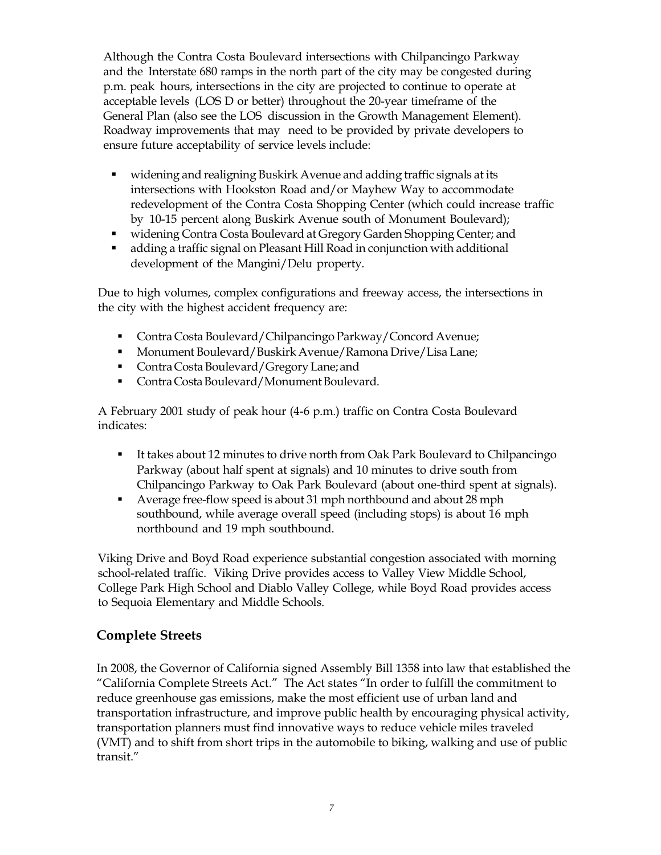Although the Contra Costa Boulevard intersections with Chilpancingo Parkway and the Interstate 680 ramps in the north part of the city may be congested during p.m. peak hours, intersections in the city are projected to continue to operate at acceptable levels (LOS D or better) throughout the 20-year timeframe of the General Plan (also see the LOS discussion in the Growth Management Element). Roadway improvements that may need to be provided by private developers to ensure future acceptability of service levels include:

- widening and realigning Buskirk Avenue and adding traffic signals at its intersections with Hookston Road and/or Mayhew Way to accommodate redevelopment of the Contra Costa Shopping Center (which could increase traffic by 10-15 percent along Buskirk Avenue south of Monument Boulevard);
- widening Contra Costa Boulevard at Gregory Garden Shopping Center; and
- adding a traffic signal on Pleasant Hill Road in conjunction with additional development of the Mangini/Delu property.

Due to high volumes, complex configurations and freeway access, the intersections in the city with the highest accident frequency are:

- Contra Costa Boulevard/Chilpancingo Parkway/Concord Avenue;
- Monument Boulevard/Buskirk Avenue/Ramona Drive/Lisa Lane;
- Contra Costa Boulevard/Gregory Lane; and
- Contra Costa Boulevard/Monument Boulevard.

A February 2001 study of peak hour (4-6 p.m.) traffic on Contra Costa Boulevard indicates:

- It takes about 12 minutes to drive north from Oak Park Boulevard to Chilpancingo Parkway (about half spent at signals) and 10 minutes to drive south from Chilpancingo Parkway to Oak Park Boulevard (about one-third spent at signals).
- Average free-flow speed is about 31 mph northbound and about 28 mph southbound, while average overall speed (including stops) is about 16 mph northbound and 19 mph southbound.

Viking Drive and Boyd Road experience substantial congestion associated with morning school-related traffic. Viking Drive provides access to Valley View Middle School, College Park High School and Diablo Valley College, while Boyd Road provides access to Sequoia Elementary and Middle Schools.

# **Complete Streets**

In 2008, the Governor of California signed Assembly Bill 1358 into law that established the "California Complete Streets Act." The Act states "In order to fulfill the commitment to reduce greenhouse gas emissions, make the most efficient use of urban land and transportation infrastructure, and improve public health by encouraging physical activity, transportation planners must find innovative ways to reduce vehicle miles traveled (VMT) and to shift from short trips in the automobile to biking, walking and use of public transit."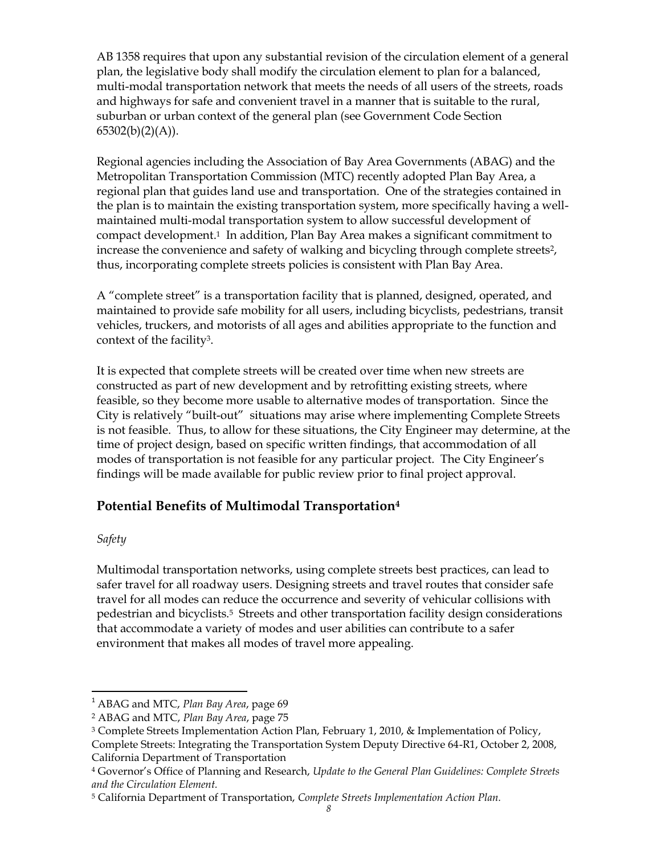AB 1358 requires that upon any substantial revision of the circulation element of a general plan, the legislative body shall modify the circulation element to plan for a balanced, multi-modal transportation network that meets the needs of all users of the streets, roads and highways for safe and convenient travel in a manner that is suitable to the rural, suburban or urban context of the general plan (see Government Code Section  $65302(b)(2)(A)).$ 

Regional agencies including the Association of Bay Area Governments (ABAG) and the Metropolitan Transportation Commission (MTC) recently adopted Plan Bay Area, a regional plan that guides land use and transportation. One of the strategies contained in the plan is to maintain the existing transportation system, more specifically having a wellmaintained multi-modal transportation system to allow successful development of compact development. <sup>1</sup> In addition, Plan Bay Area makes a significant commitment to increase the convenience and safety of walking and bicycling through complete streets<sup>2</sup>, thus, incorporating complete streets policies is consistent with Plan Bay Area.

A "complete street" is a transportation facility that is planned, designed, operated, and maintained to provide safe mobility for all users, including bicyclists, pedestrians, transit vehicles, truckers, and motorists of all ages and abilities appropriate to the function and context of the facility3.

It is expected that complete streets will be created over time when new streets are constructed as part of new development and by retrofitting existing streets, where feasible, so they become more usable to alternative modes of transportation. Since the City is relatively "built-out" situations may arise where implementing Complete Streets is not feasible. Thus, to allow for these situations, the City Engineer may determine, at the time of project design, based on specific written findings, that accommodation of all modes of transportation is not feasible for any particular project. The City Engineer's findings will be made available for public review prior to final project approval.

# **Potential Benefits of Multimodal Transportation<sup>4</sup>**

### *Safety*

 $\overline{a}$ 

Multimodal transportation networks, using complete streets best practices, can lead to safer travel for all roadway users. Designing streets and travel routes that consider safe travel for all modes can reduce the occurrence and severity of vehicular collisions with pedestrian and bicyclists.<sup>5</sup> Streets and other transportation facility design considerations that accommodate a variety of modes and user abilities can contribute to a safer environment that makes all modes of travel more appealing.

<sup>1</sup> ABAG and MTC, *Plan Bay Area*, page 69

<sup>2</sup> ABAG and MTC, *Plan Bay Area*, page 75

<sup>&</sup>lt;sup>3</sup> Complete Streets Implementation Action Plan, February 1, 2010, & Implementation of Policy, Complete Streets: Integrating the Transportation System Deputy Directive 64-R1, October 2, 2008,

California Department of Transportation

<sup>4</sup> Governor's Office of Planning and Research, *Update to the General Plan Guidelines: Complete Streets and the Circulation Element.*

<sup>5</sup> California Department of Transportation, *Complete Streets Implementation Action Plan.*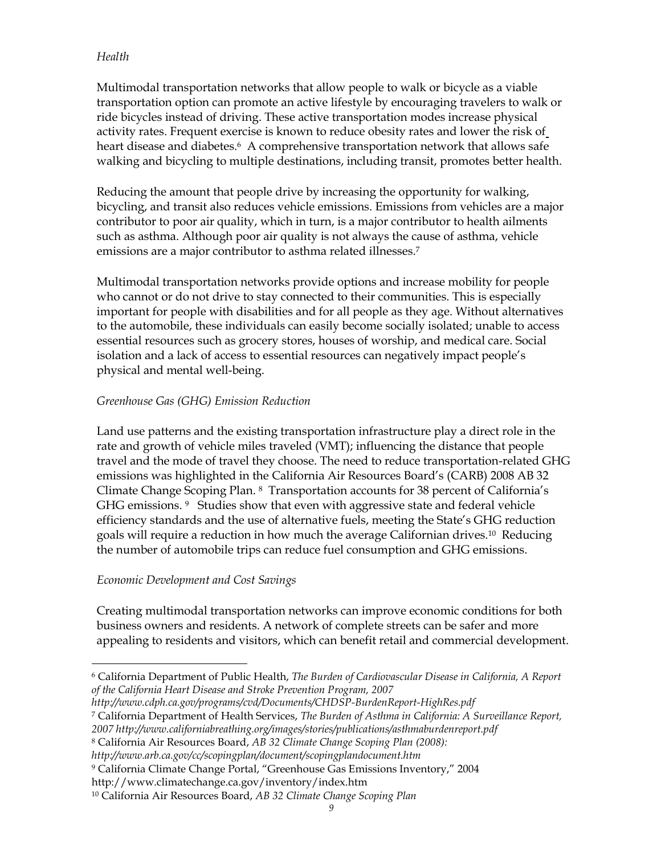#### *Health*

Multimodal transportation networks that allow people to walk or bicycle as a viable transportation option can promote an active lifestyle by encouraging travelers to walk or ride bicycles instead of driving. These active transportation modes increase physical activity rates. Frequent exercise is known to reduce obesity rates and lower the risk of heart disease and diabetes.<sup>6</sup> A comprehensive transportation network that allows safe walking and bicycling to multiple destinations, including transit, promotes better health.

Reducing the amount that people drive by increasing the opportunity for walking, bicycling, and transit also reduces vehicle emissions. Emissions from vehicles are a major contributor to poor air quality, which in turn, is a major contributor to health ailments such as asthma. Although poor air quality is not always the cause of asthma, vehicle emissions are a major contributor to asthma related illnesses.<sup>7</sup>

Multimodal transportation networks provide options and increase mobility for people who cannot or do not drive to stay connected to their communities. This is especially important for people with disabilities and for all people as they age. Without alternatives to the automobile, these individuals can easily become socially isolated; unable to access essential resources such as grocery stores, houses of worship, and medical care. Social isolation and a lack of access to essential resources can negatively impact people's physical and mental well-being.

#### *Greenhouse Gas (GHG) Emission Reduction*

Land use patterns and the existing transportation infrastructure play a direct role in the rate and growth of vehicle miles traveled (VMT); influencing the distance that people travel and the mode of travel they choose. The need to reduce transportation-related GHG emissions was highlighted in the California Air Resources Board's (CARB) 2008 AB 32 Climate Change Scoping Plan. <sup>8</sup> Transportation accounts for 38 percent of California's GHG emissions. <sup>9</sup> Studies show that even with aggressive state and federal vehicle efficiency standards and the use of alternative fuels, meeting the State's GHG reduction goals will require a reduction in how much the average Californian drives.<sup>10</sup> Reducing the number of automobile trips can reduce fuel consumption and GHG emissions.

#### *Economic Development and Cost Savings*

 $\overline{a}$ 

Creating multimodal transportation networks can improve economic conditions for both business owners and residents. A network of complete streets can be safer and more appealing to residents and visitors, which can benefit retail and commercial development.

- *http://www.cdph.ca.gov/programs/cvd/Documents/CHDSP-BurdenReport-HighRes.pdf*
- <sup>7</sup> California Department of Health Services, *The Burden of Asthma in California: A Surveillance Report,*
- *2007 http://www.californiabreathing.org/images/stories/publications/asthmaburdenreport.pdf*
- <sup>8</sup> California Air Resources Board, *AB 32 Climate Change Scoping Plan (2008):*
- *http://www.arb.ca.gov/cc/scopingplan/document/scopingplandocument.htm*

<sup>6</sup> California Department of Public Health, *The Burden of Cardiovascular Disease in California, A Report of the California Heart Disease and Stroke Prevention Program, 2007* 

<sup>9</sup> California Climate Change Portal, "Greenhouse Gas Emissions Inventory," 2004

http://www.climatechange.ca.gov/inventory/index.htm

<sup>10</sup> California Air Resources Board, *AB 32 Climate Change Scoping Plan*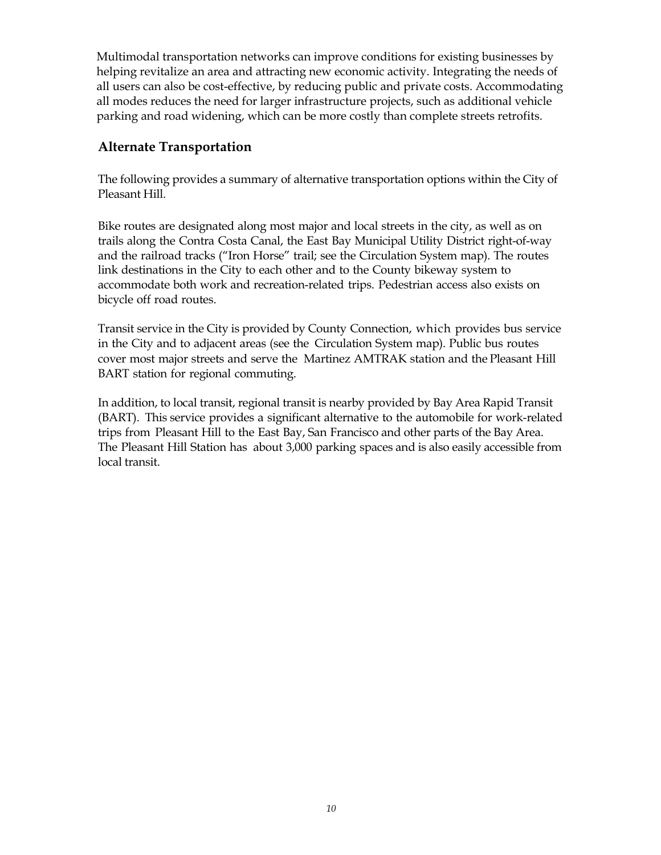Multimodal transportation networks can improve conditions for existing businesses by helping revitalize an area and attracting new economic activity. Integrating the needs of all users can also be cost-effective, by reducing public and private costs. Accommodating all modes reduces the need for larger infrastructure projects, such as additional vehicle parking and road widening, which can be more costly than complete streets retrofits.

# **Alternate Transportation**

The following provides a summary of alternative transportation options within the City of Pleasant Hill.

Bike routes are designated along most major and local streets in the city, as well as on trails along the Contra Costa Canal, the East Bay Municipal Utility District right-of-way and the railroad tracks ("Iron Horse" trail; see the Circulation System map). The routes link destinations in the City to each other and to the County bikeway system to accommodate both work and recreation-related trips. Pedestrian access also exists on bicycle off road routes.

Transit service in the City is provided by County Connection, which provides bus service in the City and to adjacent areas (see the Circulation System map). Public bus routes cover most major streets and serve the Martinez AMTRAK station and the Pleasant Hill BART station for regional commuting.

In addition, to local transit, regional transit is nearby provided by Bay Area Rapid Transit (BART). This service provides a significant alternative to the automobile for work-related trips from Pleasant Hill to the East Bay, San Francisco and other parts of the Bay Area. The Pleasant Hill Station has about 3,000 parking spaces and is also easily accessible from local transit.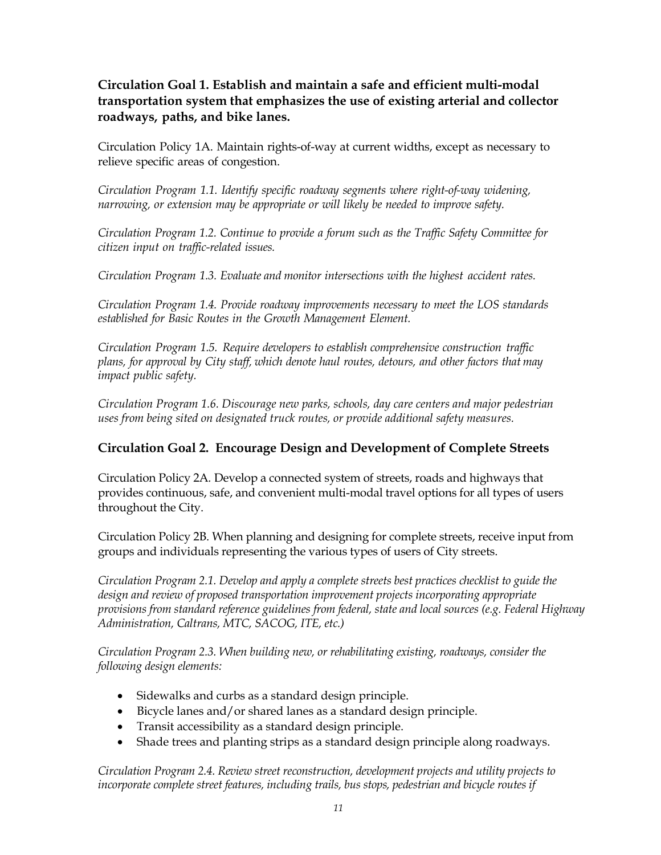# **Circulation Goal 1. Establish and maintain a safe and efficient multi-modal transportation system that emphasizes the use of existing arterial and collector roadways, paths, and bike lanes.**

Circulation Policy 1A. Maintain rights-of-way at current widths, except as necessary to relieve specific areas of congestion.

*Circulation Program 1.1. Identify specific roadway segments where right-of-way widening, narrowing, or extension may be appropriate or will likely be needed to improve safety.*

*Circulation Program 1.2. Continue to provide a forum such as the Traffic Safety Committee for citizen input on traffic-related issues.*

*Circulation Program 1.3. Evaluate and monitor intersections with the highest accident rates.*

*Circulation Program 1.4. Provide roadway improvements necessary to meet the LOS standards established for Basic Routes in the Growth Management Element.*

*Circulation Program 1.5. Require developers to establish comprehensive construction traffic plans, for approval by City staff, which denote haul routes, detours, and other factors that may impact public safety.*

*Circulation Program 1.6. Discourage new parks, schools, day care centers and major pedestrian uses from being sited on designated truck routes, or provide additional safety measures.*

### **Circulation Goal 2. Encourage Design and Development of Complete Streets**

Circulation Policy 2A*.* Develop a connected system of streets, roads and highways that provides continuous, safe, and convenient multi-modal travel options for all types of users throughout the City.

Circulation Policy 2B. When planning and designing for complete streets, receive input from groups and individuals representing the various types of users of City streets.

*Circulation Program 2.1. Develop and apply a complete streets best practices checklist to guide the design and review of proposed transportation improvement projects incorporating appropriate provisions from standard reference guidelines from federal, state and local sources (e.g. Federal Highway Administration, Caltrans, MTC, SACOG, ITE, etc.)*

*Circulation Program 2.3. When building new, or rehabilitating existing, roadways, consider the following design elements:*

- Sidewalks and curbs as a standard design principle.
- Bicycle lanes and/or shared lanes as a standard design principle.
- Transit accessibility as a standard design principle.
- Shade trees and planting strips as a standard design principle along roadways.

*Circulation Program 2.4. Review street reconstruction, development projects and utility projects to incorporate complete street features, including trails, bus stops, pedestrian and bicycle routes if*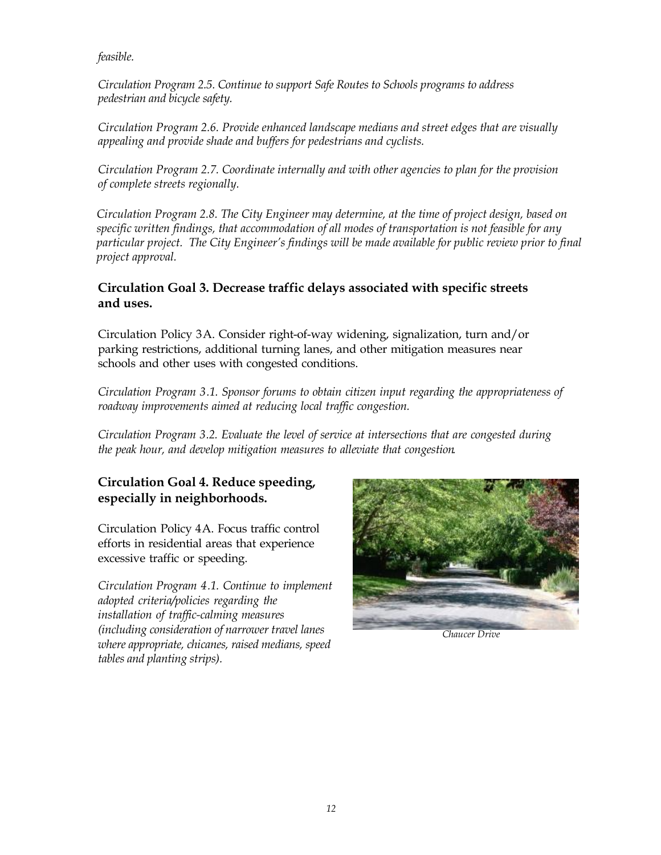*feasible.*

*Circulation Program 2.5. Continue to support Safe Routes to Schools programs to address pedestrian and bicycle safety.*

*Circulation Program 2.6. Provide enhanced landscape medians and street edges that are visually appealing and provide shade and buffers for pedestrians and cyclists.*

*Circulation Program 2.7. Coordinate internally and with other agencies to plan for the provision of complete streets regionally.*

*Circulation Program 2.8. The City Engineer may determine, at the time of project design, based on specific written findings, that accommodation of all modes of transportation is not feasible for any particular project. The City Engineer's findings will be made available for public review prior to final project approval.*

# **Circulation Goal 3. Decrease traffic delays associated with specific streets and uses.**

Circulation Policy 3A. Consider right-of-way widening, signalization, turn and/or parking restrictions, additional turning lanes, and other mitigation measures near schools and other uses with congested conditions.

*Circulation Program 3.1. Sponsor forums to obtain citizen input regarding the appropriateness of roadway improvements aimed at reducing local traffic congestion.*

*Circulation Program 3.2. Evaluate the level of service at intersections that are congested during the peak hour, and develop mitigation measures to alleviate that congestion.*

# **Circulation Goal 4. Reduce speeding, especially in neighborhoods.**

Circulation Policy 4A. Focus traffic control efforts in residential areas that experience excessive traffic or speeding.

*Circulation Program 4.1. Continue to implement adopted criteria/policies regarding the installation of traffic-calming measures (including consideration of narrower travel lanes where appropriate, chicanes, raised medians, speed tables and planting strips).*



*Chaucer Drive*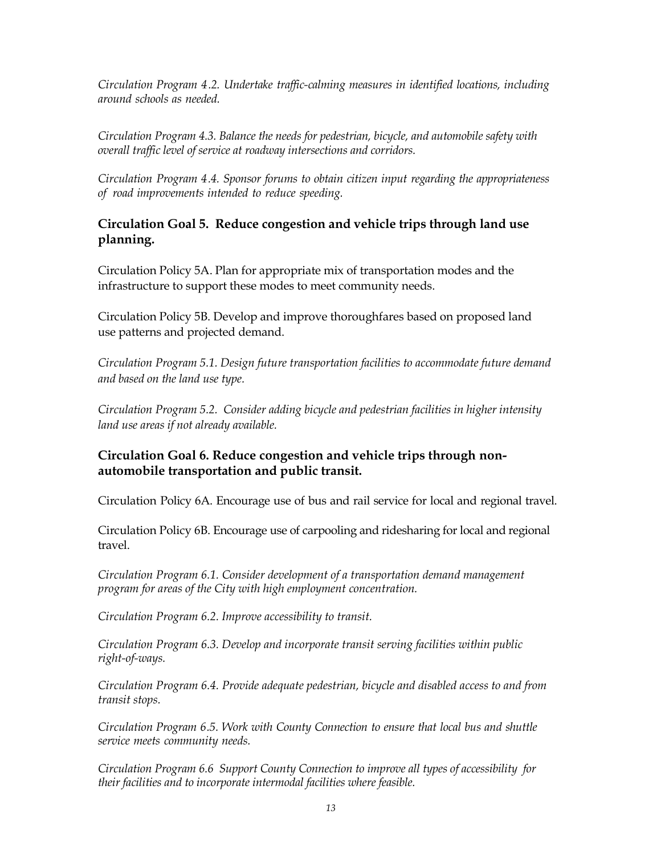*Circulation Program 4.2. Undertake traffic-calming measures in identified locations, including around schools as needed.*

*Circulation Program 4.3. Balance the needs for pedestrian, bicycle, and automobile safety with overall traffic level of service at roadway intersections and corridors.*

*Circulation Program 4.4. Sponsor forums to obtain citizen input regarding the appropriateness of road improvements intended to reduce speeding.*

## **Circulation Goal 5. Reduce congestion and vehicle trips through land use planning.**

Circulation Policy 5A. Plan for appropriate mix of transportation modes and the infrastructure to support these modes to meet community needs.

Circulation Policy 5B. Develop and improve thoroughfares based on proposed land use patterns and projected demand.

*Circulation Program 5.1. Design future transportation facilities to accommodate future demand and based on the land use type.*

*Circulation Program 5.2. Consider adding bicycle and pedestrian facilities in higher intensity land use areas if not already available.*

# **Circulation Goal 6. Reduce congestion and vehicle trips through nonautomobile transportation and public transit.**

Circulation Policy 6A. Encourage use of bus and rail service for local and regional travel.

Circulation Policy 6B. Encourage use of carpooling and ridesharing for local and regional travel.

*Circulation Program 6.1. Consider development of a transportation demand management program for areas of the City with high employment concentration.*

*Circulation Program 6.2. Improve accessibility to transit.*

*Circulation Program 6.3. Develop and incorporate transit serving facilities within public right-of-ways.*

*Circulation Program 6.4. Provide adequate pedestrian, bicycle and disabled access to and from transit stops.*

*Circulation Program 6.5. Work with County Connection to ensure that local bus and shuttle service meets community needs.*

*Circulation Program 6.6 Support County Connection to improve all types of accessibility for their facilities and to incorporate intermodal facilities where feasible.*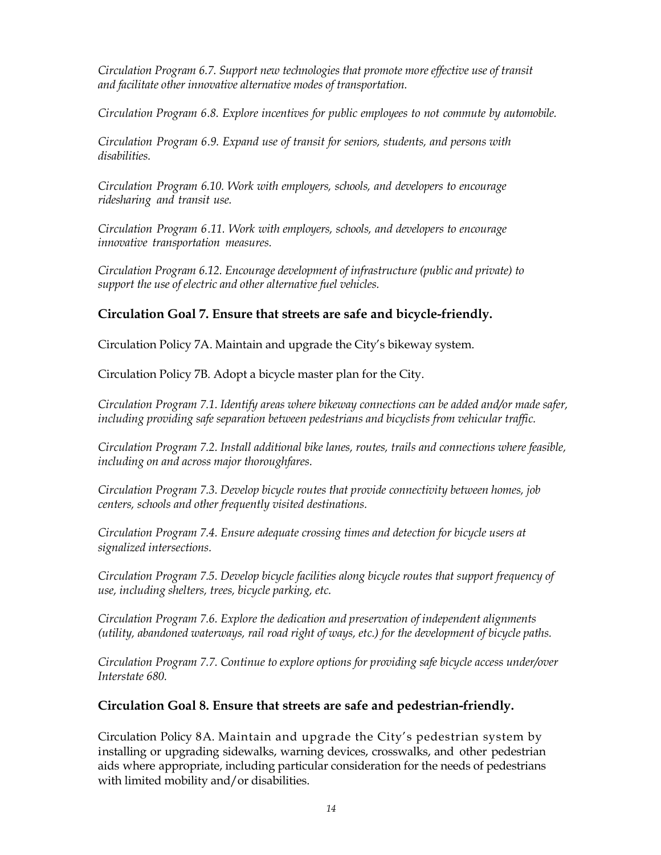*Circulation Program 6.7. Support new technologies that promote more effective use of transit and facilitate other innovative alternative modes of transportation.*

*Circulation Program 6.8. Explore incentives for public employees to not commute by automobile.*

*Circulation Program 6.9. Expand use of transit for seniors, students, and persons with disabilities.*

*Circulation Program 6.10. Work with employers, schools, and developers to encourage ridesharing and transit use.*

*Circulation Program 6.11. Work with employers, schools, and developers to encourage innovative transportation measures.*

*Circulation Program 6.12. Encourage development of infrastructure (public and private) to support the use of electric and other alternative fuel vehicles.*

### **Circulation Goal 7. Ensure that streets are safe and bicycle-friendly.**

Circulation Policy 7A. Maintain and upgrade the City's bikeway system.

Circulation Policy 7B. Adopt a bicycle master plan for the City.

*Circulation Program 7.1. Identify areas where bikeway connections can be added and/or made safer, including providing safe separation between pedestrians and bicyclists from vehicular traffic.*

*Circulation Program 7.2. Install additional bike lanes, routes, trails and connections where feasible, including on and across major thoroughfares.*

*Circulation Program 7.3. Develop bicycle routes that provide connectivity between homes, job centers, schools and other frequently visited destinations.*

*Circulation Program 7.4. Ensure adequate crossing times and detection for bicycle users at signalized intersections.*

*Circulation Program 7.5. Develop bicycle facilities along bicycle routes that support frequency of use, including shelters, trees, bicycle parking, etc.*

*Circulation Program 7.6. Explore the dedication and preservation of independent alignments (utility, abandoned waterways, rail road right of ways, etc.) for the development of bicycle paths.*

*Circulation Program 7.7. Continue to explore options for providing safe bicycle access under/over Interstate 680.*

### **Circulation Goal 8. Ensure that streets are safe and pedestrian-friendly.**

Circulation Policy 8A. Maintain and upgrade the City's pedestrian system by installing or upgrading sidewalks, warning devices, crosswalks, and other pedestrian aids where appropriate, including particular consideration for the needs of pedestrians with limited mobility and/or disabilities.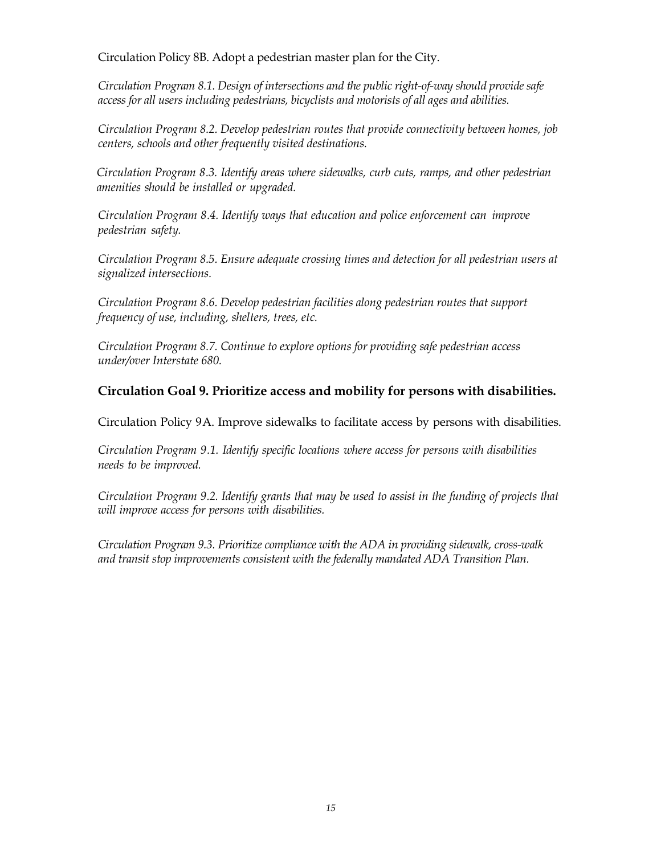Circulation Policy 8B. Adopt a pedestrian master plan for the City.

*Circulation Program 8.1. Design of intersections and the public right-of-way should provide safe access for all users including pedestrians, bicyclists and motorists of all ages and abilities.*

*Circulation Program 8.2. Develop pedestrian routes that provide connectivity between homes, job centers, schools and other frequently visited destinations.*

*Circulation Program 8.3. Identify areas where sidewalks, curb cuts, ramps, and other pedestrian amenities should be installed or upgraded.*

*Circulation Program 8.4. Identify ways that education and police enforcement can improve pedestrian safety.*

*Circulation Program 8.5. Ensure adequate crossing times and detection for all pedestrian users at signalized intersections.*

*Circulation Program 8.6. Develop pedestrian facilities along pedestrian routes that support frequency of use, including, shelters, trees, etc.*

*Circulation Program 8.7. Continue to explore options for providing safe pedestrian access under/over Interstate 680.*

# **Circulation Goal 9. Prioritize access and mobility for persons with disabilities.**

Circulation Policy 9A. Improve sidewalks to facilitate access by persons with disabilities.

*Circulation Program 9.1. Identify specific locations where access for persons with disabilities needs to be improved.*

*Circulation Program 9.2. Identify grants that may be used to assist in the funding of projects that will improve access for persons with disabilities.*

*Circulation Program 9.3. Prioritize compliance with the ADA in providing sidewalk, cross-walk and transit stop improvements consistent with the federally mandated ADA Transition Plan.*